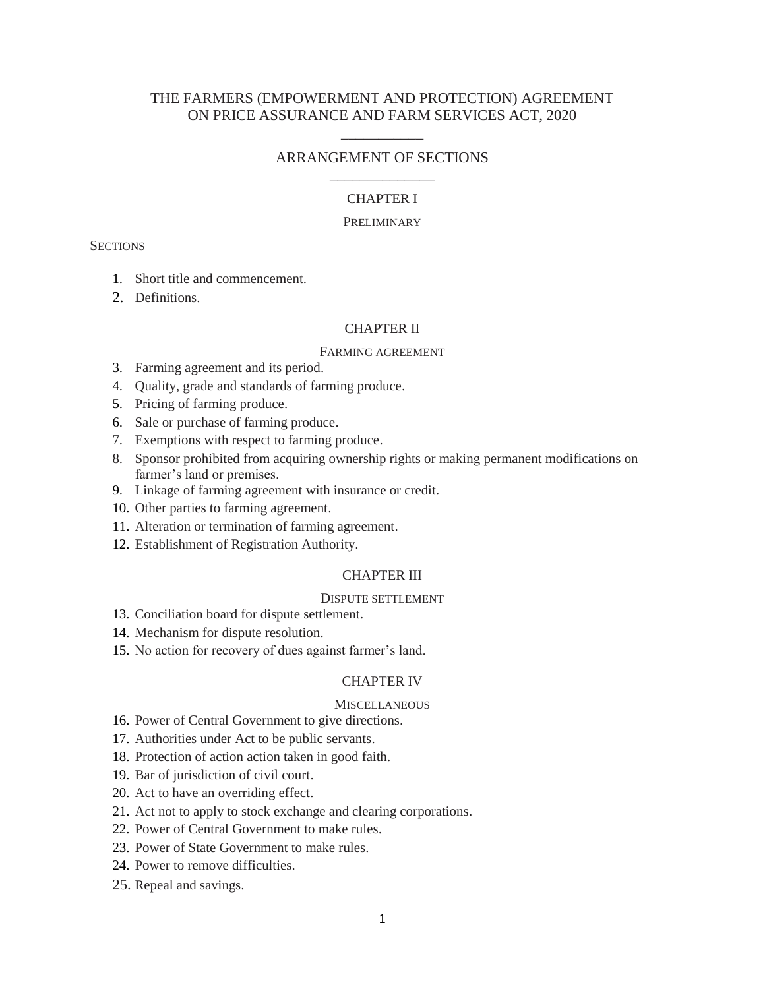# THE FARMERS (EMPOWERMENT AND PROTECTION) AGREEMENT ON PRICE ASSURANCE AND FARM SERVICES ACT, 2020

\_\_\_\_\_\_\_\_\_\_\_

# ARRANGEMENT OF SECTIONS \_\_\_\_\_\_\_\_\_\_\_\_\_\_

# CHAPTER I

### PRELIMINARY

### **SECTIONS**

- 1. Short title and commencement.
- 2. Definitions.

## CHAPTER II

#### FARMING AGREEMENT

- 3. Farming agreement and its period.
- 4. Quality, grade and standards of farming produce.
- 5. Pricing of farming produce.
- 6. Sale or purchase of farming produce.
- 7. Exemptions with respect to farming produce.
- 8. Sponsor prohibited from acquiring ownership rights or making permanent modifications on farmer's land or premises.
- 9. Linkage of farming agreement with insurance or credit.
- 10. Other parties to farming agreement.
- 11. Alteration or termination of farming agreement.
- 12. Establishment of Registration Authority.

### CHAPTER III

## DISPUTE SETTLEMENT

- 13. Conciliation board for dispute settlement.
- 14. Mechanism for dispute resolution.
- 15. No action for recovery of dues against farmer's land.

## CHAPTER IV

#### **MISCELLANEOUS**

- 16. Power of Central Government to give directions.
- 17. Authorities under Act to be public servants.
- 18. Protection of action action taken in good faith.
- 19. Bar of jurisdiction of civil court.
- 20. Act to have an overriding effect.
- 21. Act not to apply to stock exchange and clearing corporations.
- 22. Power of Central Government to make rules.
- 23. Power of State Government to make rules.
- 24. Power to remove difficulties.
- 25. Repeal and savings.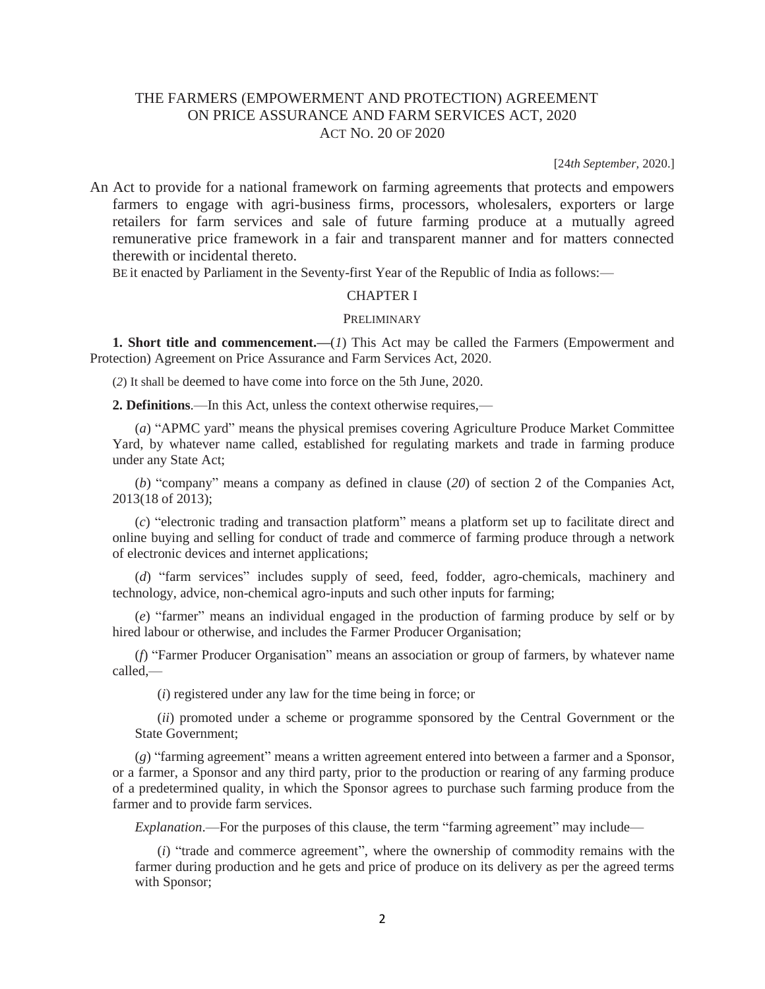# THE FARMERS (EMPOWERMENT AND PROTECTION) AGREEMENT ON PRICE ASSURANCE AND FARM SERVICES ACT, 2020 ACT NO. 20 OF 2020

[24*th September,* 2020.]

An Act to provide for a national framework on farming agreements that protects and empowers farmers to engage with agri-business firms, processors, wholesalers, exporters or large retailers for farm services and sale of future farming produce at a mutually agreed remunerative price framework in a fair and transparent manner and for matters connected therewith or incidental thereto.

BE it enacted by Parliament in the Seventy-first Year of the Republic of India as follows:—

## CHAPTER I

#### PRELIMINARY

**1. Short title and commencement.—**(*1*) This Act may be called the Farmers (Empowerment and Protection) Agreement on Price Assurance and Farm Services Act, 2020.

(*2*) It shall be deemed to have come into force on the 5th June, 2020.

**2. Definitions**.—In this Act, unless the context otherwise requires,—

(*a*) "APMC yard" means the physical premises covering Agriculture Produce Market Committee Yard, by whatever name called, established for regulating markets and trade in farming produce under any State Act;

(*b*) "company" means a company as defined in clause (*20*) of section 2 of the Companies Act, 2013(18 of 2013);

(*c*) "electronic trading and transaction platform" means a platform set up to facilitate direct and online buying and selling for conduct of trade and commerce of farming produce through a network of electronic devices and internet applications;

(*d*) "farm services" includes supply of seed, feed, fodder, agro-chemicals, machinery and technology, advice, non-chemical agro-inputs and such other inputs for farming;

(*e*) "farmer" means an individual engaged in the production of farming produce by self or by hired labour or otherwise, and includes the Farmer Producer Organisation;

(*f*) "Farmer Producer Organisation" means an association or group of farmers, by whatever name called,—

(*i*) registered under any law for the time being in force; or

(*ii*) promoted under a scheme or programme sponsored by the Central Government or the State Government;

(*g*) "farming agreement" means a written agreement entered into between a farmer and a Sponsor, or a farmer, a Sponsor and any third party, prior to the production or rearing of any farming produce of a predetermined quality, in which the Sponsor agrees to purchase such farming produce from the farmer and to provide farm services.

*Explanation*.—For the purposes of this clause, the term "farming agreement" may include—

(*i*) "trade and commerce agreement", where the ownership of commodity remains with the farmer during production and he gets and price of produce on its delivery as per the agreed terms with Sponsor;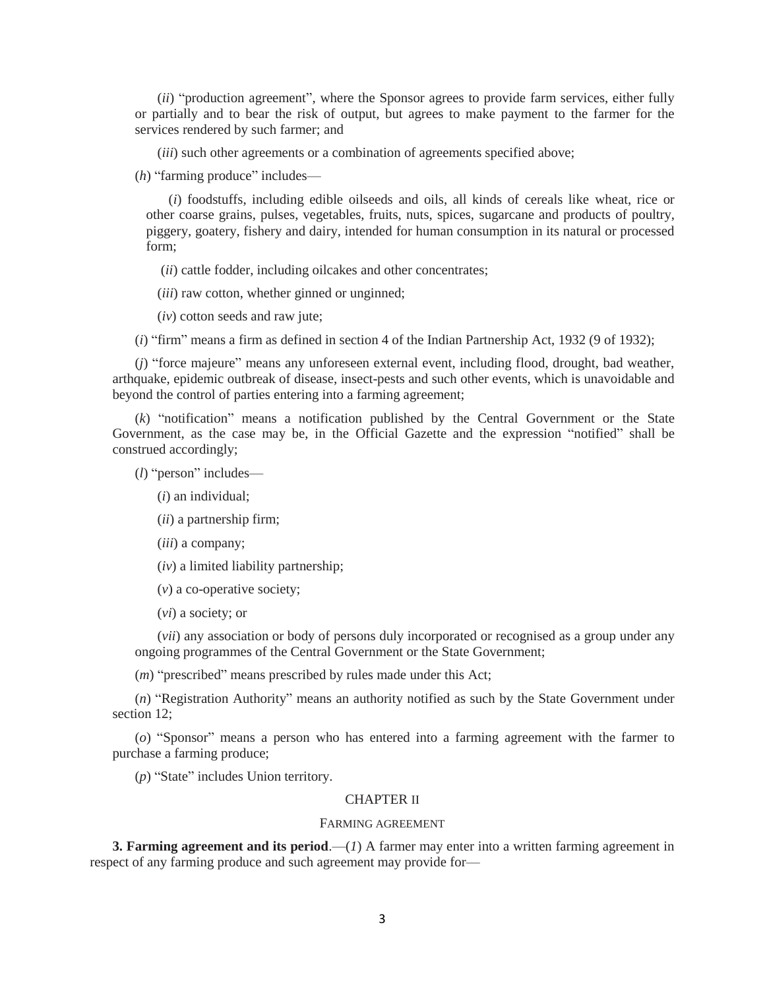(*ii*) "production agreement", where the Sponsor agrees to provide farm services, either fully or partially and to bear the risk of output, but agrees to make payment to the farmer for the services rendered by such farmer; and

(*iii*) such other agreements or a combination of agreements specified above;

(*h*) "farming produce" includes—

(*i*) foodstuffs, including edible oilseeds and oils, all kinds of cereals like wheat, rice or other coarse grains, pulses, vegetables, fruits, nuts, spices, sugarcane and products of poultry, piggery, goatery, fishery and dairy, intended for human consumption in its natural or processed form;

(*ii*) cattle fodder, including oilcakes and other concentrates;

(*iii*) raw cotton, whether ginned or unginned;

(*iv*) cotton seeds and raw jute;

(*i*) "firm" means a firm as defined in section 4 of the Indian Partnership Act, 1932 (9 of 1932);

(*j*) "force majeure" means any unforeseen external event, including flood, drought, bad weather, arthquake, epidemic outbreak of disease, insect-pests and such other events, which is unavoidable and beyond the control of parties entering into a farming agreement;

(*k*) "notification" means a notification published by the Central Government or the State Government, as the case may be, in the Official Gazette and the expression "notified" shall be construed accordingly;

(*l*) "person" includes—

(*i*) an individual;

(*ii*) a partnership firm;

(*iii*) a company;

(*iv*) a limited liability partnership;

(*v*) a co-operative society;

(*vi*) a society; or

(*vii*) any association or body of persons duly incorporated or recognised as a group under any ongoing programmes of the Central Government or the State Government;

(*m*) "prescribed" means prescribed by rules made under this Act;

(*n*) "Registration Authority" means an authority notified as such by the State Government under section 12:

(*o*) "Sponsor" means a person who has entered into a farming agreement with the farmer to purchase a farming produce;

(*p*) "State" includes Union territory.

#### CHAPTER II

### FARMING AGREEMENT

**3. Farming agreement and its period.**—(*1*) A farmer may enter into a written farming agreement in respect of any farming produce and such agreement may provide for—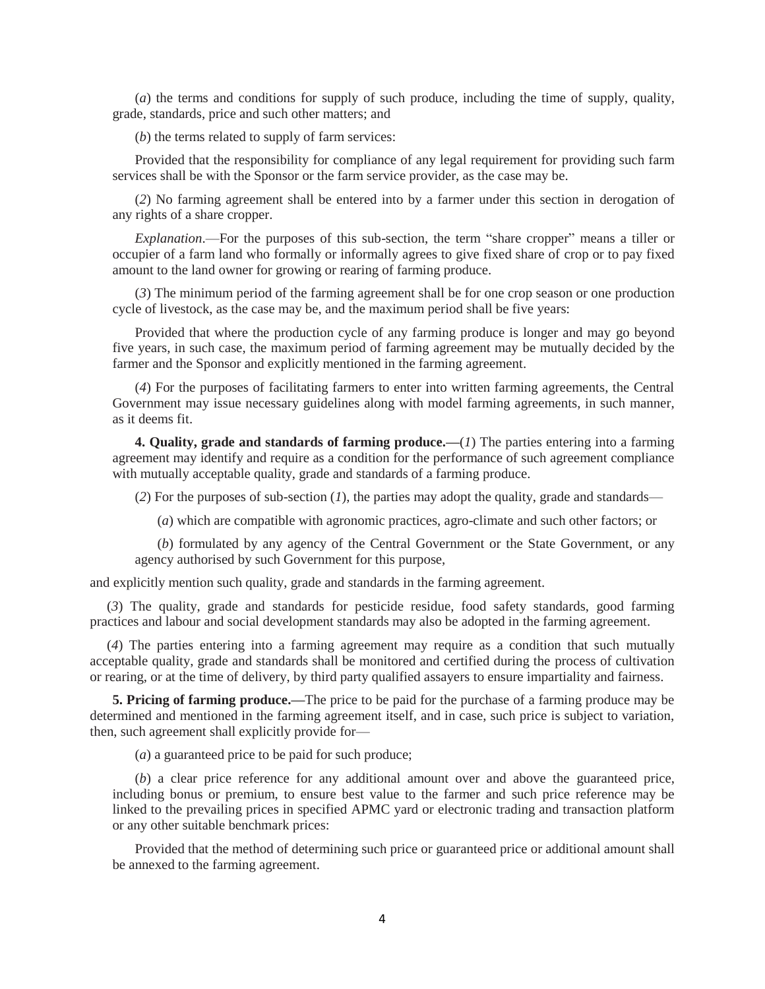(*a*) the terms and conditions for supply of such produce, including the time of supply, quality, grade, standards, price and such other matters; and

(*b*) the terms related to supply of farm services:

Provided that the responsibility for compliance of any legal requirement for providing such farm services shall be with the Sponsor or the farm service provider, as the case may be.

(*2*) No farming agreement shall be entered into by a farmer under this section in derogation of any rights of a share cropper.

*Explanation*.—For the purposes of this sub-section, the term "share cropper" means a tiller or occupier of a farm land who formally or informally agrees to give fixed share of crop or to pay fixed amount to the land owner for growing or rearing of farming produce.

(*3*) The minimum period of the farming agreement shall be for one crop season or one production cycle of livestock, as the case may be, and the maximum period shall be five years:

Provided that where the production cycle of any farming produce is longer and may go beyond five years, in such case, the maximum period of farming agreement may be mutually decided by the farmer and the Sponsor and explicitly mentioned in the farming agreement.

(*4*) For the purposes of facilitating farmers to enter into written farming agreements, the Central Government may issue necessary guidelines along with model farming agreements, in such manner, as it deems fit.

**4. Quality, grade and standards of farming produce.—**(*1*) The parties entering into a farming agreement may identify and require as a condition for the performance of such agreement compliance with mutually acceptable quality, grade and standards of a farming produce.

(*2*) For the purposes of sub-section (*1*), the parties may adopt the quality, grade and standards—

(*a*) which are compatible with agronomic practices, agro-climate and such other factors; or

(*b*) formulated by any agency of the Central Government or the State Government, or any agency authorised by such Government for this purpose,

and explicitly mention such quality, grade and standards in the farming agreement.

(*3*) The quality, grade and standards for pesticide residue, food safety standards, good farming practices and labour and social development standards may also be adopted in the farming agreement.

(*4*) The parties entering into a farming agreement may require as a condition that such mutually acceptable quality, grade and standards shall be monitored and certified during the process of cultivation or rearing, or at the time of delivery, by third party qualified assayers to ensure impartiality and fairness.

**5. Pricing of farming produce.—**The price to be paid for the purchase of a farming produce may be determined and mentioned in the farming agreement itself, and in case, such price is subject to variation, then, such agreement shall explicitly provide for—

(*a*) a guaranteed price to be paid for such produce;

(*b*) a clear price reference for any additional amount over and above the guaranteed price, including bonus or premium, to ensure best value to the farmer and such price reference may be linked to the prevailing prices in specified APMC yard or electronic trading and transaction platform or any other suitable benchmark prices:

Provided that the method of determining such price or guaranteed price or additional amount shall be annexed to the farming agreement.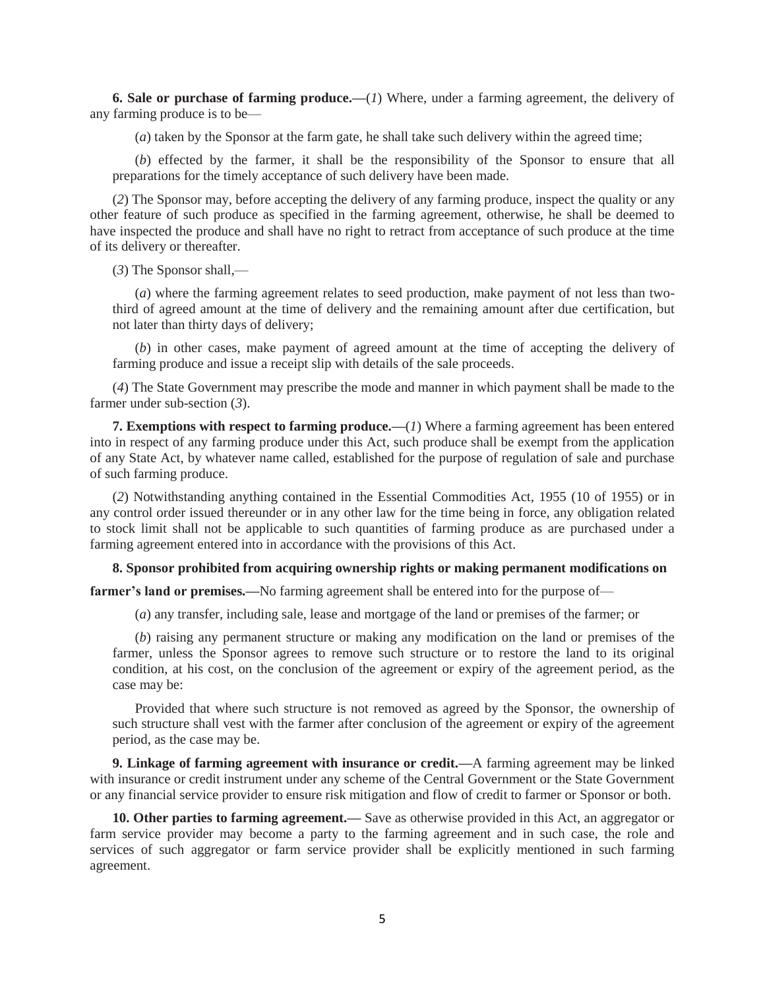**6. Sale or purchase of farming produce.—**(*1*) Where, under a farming agreement, the delivery of any farming produce is to be—

(*a*) taken by the Sponsor at the farm gate, he shall take such delivery within the agreed time;

(*b*) effected by the farmer, it shall be the responsibility of the Sponsor to ensure that all preparations for the timely acceptance of such delivery have been made.

(*2*) The Sponsor may, before accepting the delivery of any farming produce, inspect the quality or any other feature of such produce as specified in the farming agreement, otherwise, he shall be deemed to have inspected the produce and shall have no right to retract from acceptance of such produce at the time of its delivery or thereafter.

(*3*) The Sponsor shall,—

(*a*) where the farming agreement relates to seed production, make payment of not less than twothird of agreed amount at the time of delivery and the remaining amount after due certification, but not later than thirty days of delivery;

(*b*) in other cases, make payment of agreed amount at the time of accepting the delivery of farming produce and issue a receipt slip with details of the sale proceeds.

(*4*) The State Government may prescribe the mode and manner in which payment shall be made to the farmer under sub-section (*3*).

**7. Exemptions with respect to farming produce.—**(*1*) Where a farming agreement has been entered into in respect of any farming produce under this Act, such produce shall be exempt from the application of any State Act, by whatever name called, established for the purpose of regulation of sale and purchase of such farming produce.

(*2*) Notwithstanding anything contained in the Essential Commodities Act, 1955 (10 of 1955) or in any control order issued thereunder or in any other law for the time being in force, any obligation related to stock limit shall not be applicable to such quantities of farming produce as are purchased under a farming agreement entered into in accordance with the provisions of this Act.

## **8. Sponsor prohibited from acquiring ownership rights or making permanent modifications on**

**farmer's land or premises.—**No farming agreement shall be entered into for the purpose of—

(*a*) any transfer, including sale, lease and mortgage of the land or premises of the farmer; or

(*b*) raising any permanent structure or making any modification on the land or premises of the farmer, unless the Sponsor agrees to remove such structure or to restore the land to its original condition, at his cost, on the conclusion of the agreement or expiry of the agreement period, as the case may be:

Provided that where such structure is not removed as agreed by the Sponsor, the ownership of such structure shall vest with the farmer after conclusion of the agreement or expiry of the agreement period, as the case may be.

**9. Linkage of farming agreement with insurance or credit.—**A farming agreement may be linked with insurance or credit instrument under any scheme of the Central Government or the State Government or any financial service provider to ensure risk mitigation and flow of credit to farmer or Sponsor or both.

**10. Other parties to farming agreement.—** Save as otherwise provided in this Act, an aggregator or farm service provider may become a party to the farming agreement and in such case, the role and services of such aggregator or farm service provider shall be explicitly mentioned in such farming agreement.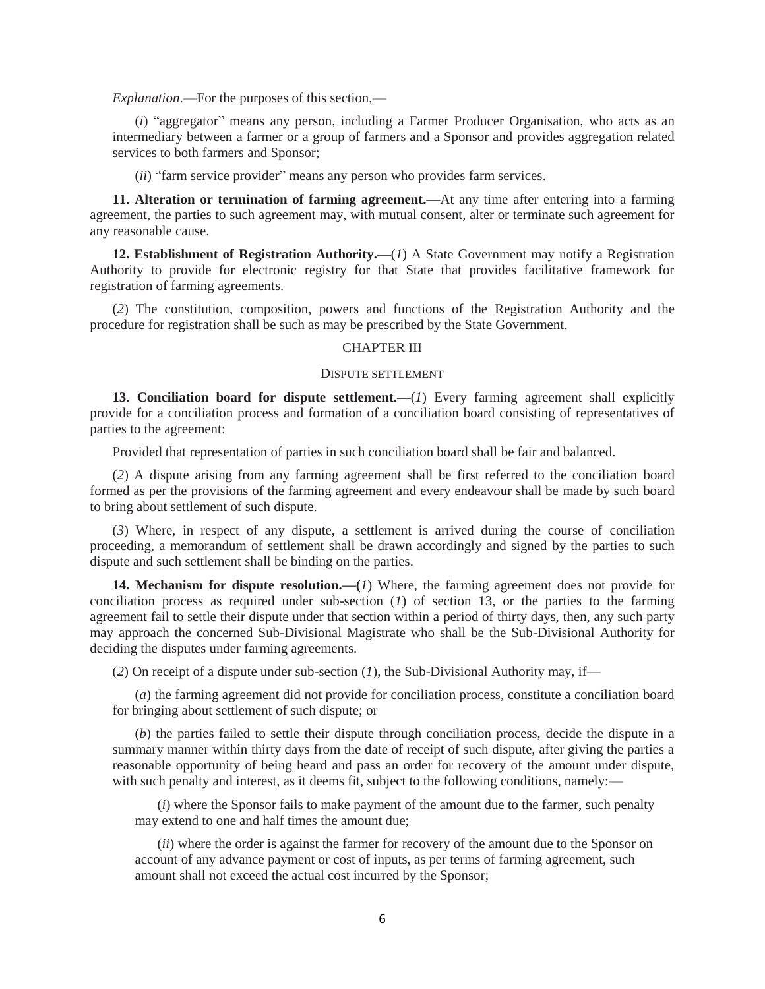*Explanation*.—For the purposes of this section,—

(*i*) "aggregator" means any person, including a Farmer Producer Organisation, who acts as an intermediary between a farmer or a group of farmers and a Sponsor and provides aggregation related services to both farmers and Sponsor;

(*ii*) "farm service provider" means any person who provides farm services.

**11. Alteration or termination of farming agreement.—**At any time after entering into a farming agreement, the parties to such agreement may, with mutual consent, alter or terminate such agreement for any reasonable cause.

**12. Establishment of Registration Authority.—**(*1*) A State Government may notify a Registration Authority to provide for electronic registry for that State that provides facilitative framework for registration of farming agreements.

(*2*) The constitution, composition, powers and functions of the Registration Authority and the procedure for registration shall be such as may be prescribed by the State Government.

### CHAPTER III

## DISPUTE SETTLEMENT

**13. Conciliation board for dispute settlement.—(***1***) Every farming agreement shall explicitly** provide for a conciliation process and formation of a conciliation board consisting of representatives of parties to the agreement:

Provided that representation of parties in such conciliation board shall be fair and balanced.

(*2*) A dispute arising from any farming agreement shall be first referred to the conciliation board formed as per the provisions of the farming agreement and every endeavour shall be made by such board to bring about settlement of such dispute.

(*3*) Where, in respect of any dispute, a settlement is arrived during the course of conciliation proceeding, a memorandum of settlement shall be drawn accordingly and signed by the parties to such dispute and such settlement shall be binding on the parties.

**14. Mechanism for dispute resolution.—(***1*) Where, the farming agreement does not provide for conciliation process as required under sub-section (*1*) of section 13, or the parties to the farming agreement fail to settle their dispute under that section within a period of thirty days, then, any such party may approach the concerned Sub-Divisional Magistrate who shall be the Sub-Divisional Authority for deciding the disputes under farming agreements.

(2) On receipt of a dispute under sub-section  $(I)$ , the Sub-Divisional Authority may, if—

(*a*) the farming agreement did not provide for conciliation process, constitute a conciliation board for bringing about settlement of such dispute; or

(*b*) the parties failed to settle their dispute through conciliation process, decide the dispute in a summary manner within thirty days from the date of receipt of such dispute, after giving the parties a reasonable opportunity of being heard and pass an order for recovery of the amount under dispute, with such penalty and interest, as it deems fit, subject to the following conditions, namely:—

(*i*) where the Sponsor fails to make payment of the amount due to the farmer, such penalty may extend to one and half times the amount due;

(*ii*) where the order is against the farmer for recovery of the amount due to the Sponsor on account of any advance payment or cost of inputs, as per terms of farming agreement, such amount shall not exceed the actual cost incurred by the Sponsor;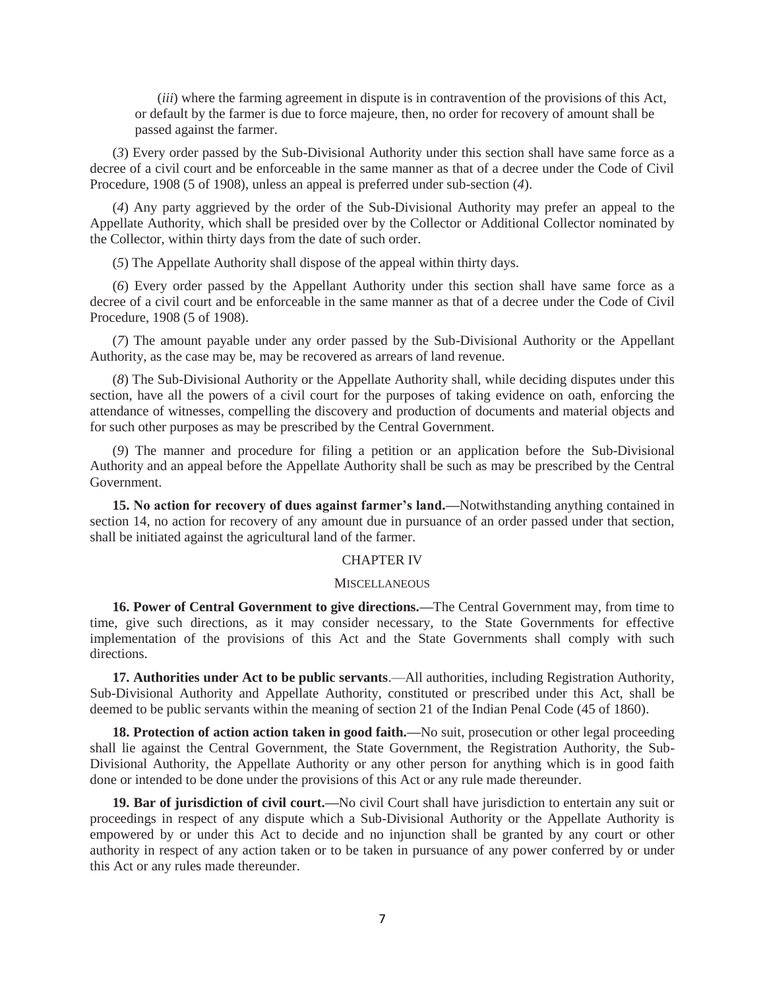(*iii*) where the farming agreement in dispute is in contravention of the provisions of this Act, or default by the farmer is due to force majeure, then, no order for recovery of amount shall be passed against the farmer.

(*3*) Every order passed by the Sub-Divisional Authority under this section shall have same force as a decree of a civil court and be enforceable in the same manner as that of a decree under the Code of Civil Procedure, 1908 (5 of 1908), unless an appeal is preferred under sub-section (*4*).

(*4*) Any party aggrieved by the order of the Sub-Divisional Authority may prefer an appeal to the Appellate Authority, which shall be presided over by the Collector or Additional Collector nominated by the Collector, within thirty days from the date of such order.

(*5*) The Appellate Authority shall dispose of the appeal within thirty days.

(*6*) Every order passed by the Appellant Authority under this section shall have same force as a decree of a civil court and be enforceable in the same manner as that of a decree under the Code of Civil Procedure, 1908 (5 of 1908).

(*7*) The amount payable under any order passed by the Sub-Divisional Authority or the Appellant Authority, as the case may be, may be recovered as arrears of land revenue.

(*8*) The Sub-Divisional Authority or the Appellate Authority shall, while deciding disputes under this section, have all the powers of a civil court for the purposes of taking evidence on oath, enforcing the attendance of witnesses, compelling the discovery and production of documents and material objects and for such other purposes as may be prescribed by the Central Government.

(*9*) The manner and procedure for filing a petition or an application before the Sub-Divisional Authority and an appeal before the Appellate Authority shall be such as may be prescribed by the Central Government.

**15. No action for recovery of dues against farmer's land.—**Notwithstanding anything contained in section 14, no action for recovery of any amount due in pursuance of an order passed under that section, shall be initiated against the agricultural land of the farmer.

### CHAPTER IV

#### **MISCELLANEOUS**

**16. Power of Central Government to give directions.—**The Central Government may, from time to time, give such directions, as it may consider necessary, to the State Governments for effective implementation of the provisions of this Act and the State Governments shall comply with such directions.

**17. Authorities under Act to be public servants**.—All authorities, including Registration Authority, Sub-Divisional Authority and Appellate Authority, constituted or prescribed under this Act, shall be deemed to be public servants within the meaning of section 21 of the Indian Penal Code (45 of 1860).

**18. Protection of action action taken in good faith.—**No suit, prosecution or other legal proceeding shall lie against the Central Government, the State Government, the Registration Authority, the Sub-Divisional Authority, the Appellate Authority or any other person for anything which is in good faith done or intended to be done under the provisions of this Act or any rule made thereunder.

**19. Bar of jurisdiction of civil court.—**No civil Court shall have jurisdiction to entertain any suit or proceedings in respect of any dispute which a Sub-Divisional Authority or the Appellate Authority is empowered by or under this Act to decide and no injunction shall be granted by any court or other authority in respect of any action taken or to be taken in pursuance of any power conferred by or under this Act or any rules made thereunder.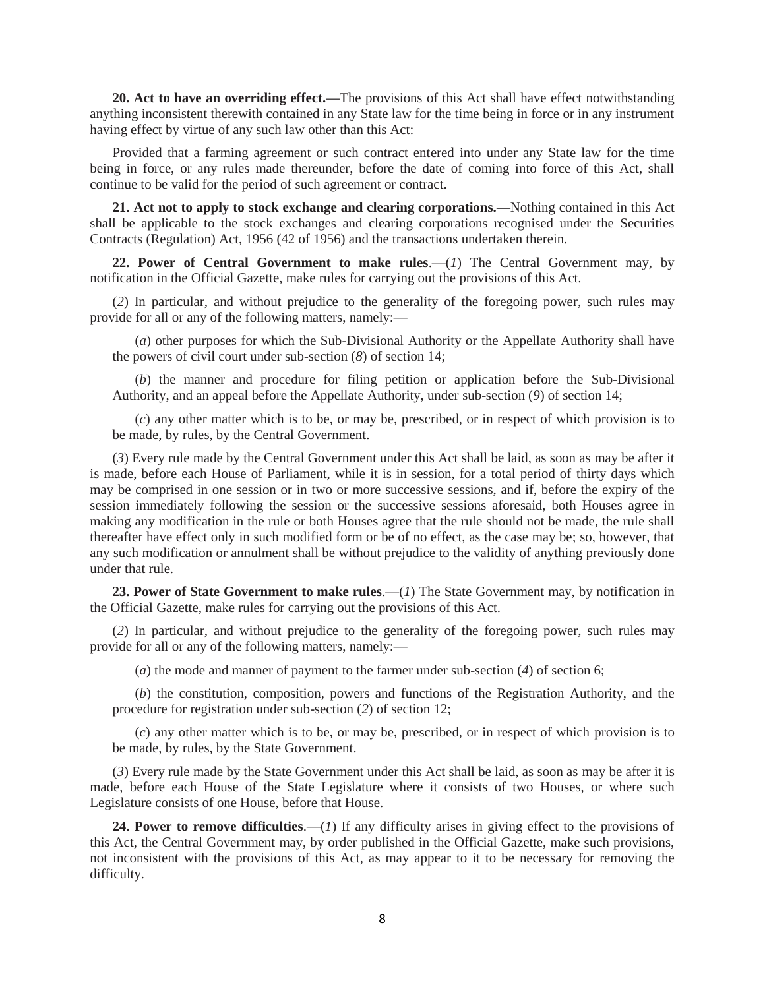**20. Act to have an overriding effect.—**The provisions of this Act shall have effect notwithstanding anything inconsistent therewith contained in any State law for the time being in force or in any instrument having effect by virtue of any such law other than this Act:

Provided that a farming agreement or such contract entered into under any State law for the time being in force, or any rules made thereunder, before the date of coming into force of this Act, shall continue to be valid for the period of such agreement or contract.

**21. Act not to apply to stock exchange and clearing corporations.—**Nothing contained in this Act shall be applicable to the stock exchanges and clearing corporations recognised under the Securities Contracts (Regulation) Act, 1956 (42 of 1956) and the transactions undertaken therein.

**22. Power of Central Government to make rules**.—(*1*) The Central Government may, by notification in the Official Gazette, make rules for carrying out the provisions of this Act.

(*2*) In particular, and without prejudice to the generality of the foregoing power, such rules may provide for all or any of the following matters, namely:—

(*a*) other purposes for which the Sub-Divisional Authority or the Appellate Authority shall have the powers of civil court under sub-section (*8*) of section 14;

(*b*) the manner and procedure for filing petition or application before the Sub-Divisional Authority, and an appeal before the Appellate Authority, under sub-section (*9*) of section 14;

(*c*) any other matter which is to be, or may be, prescribed, or in respect of which provision is to be made, by rules, by the Central Government.

(*3*) Every rule made by the Central Government under this Act shall be laid, as soon as may be after it is made, before each House of Parliament, while it is in session, for a total period of thirty days which may be comprised in one session or in two or more successive sessions, and if, before the expiry of the session immediately following the session or the successive sessions aforesaid, both Houses agree in making any modification in the rule or both Houses agree that the rule should not be made, the rule shall thereafter have effect only in such modified form or be of no effect, as the case may be; so, however, that any such modification or annulment shall be without prejudice to the validity of anything previously done under that rule.

**23. Power of State Government to make rules**.—(*1*) The State Government may, by notification in the Official Gazette, make rules for carrying out the provisions of this Act.

(*2*) In particular, and without prejudice to the generality of the foregoing power, such rules may provide for all or any of the following matters, namely:—

(*a*) the mode and manner of payment to the farmer under sub-section (*4*) of section 6;

(*b*) the constitution, composition, powers and functions of the Registration Authority, and the procedure for registration under sub-section (*2*) of section 12;

(*c*) any other matter which is to be, or may be, prescribed, or in respect of which provision is to be made, by rules, by the State Government.

(*3*) Every rule made by the State Government under this Act shall be laid, as soon as may be after it is made, before each House of the State Legislature where it consists of two Houses, or where such Legislature consists of one House, before that House.

**24. Power to remove difficulties**.—(*1*) If any difficulty arises in giving effect to the provisions of this Act, the Central Government may, by order published in the Official Gazette, make such provisions, not inconsistent with the provisions of this Act, as may appear to it to be necessary for removing the difficulty.